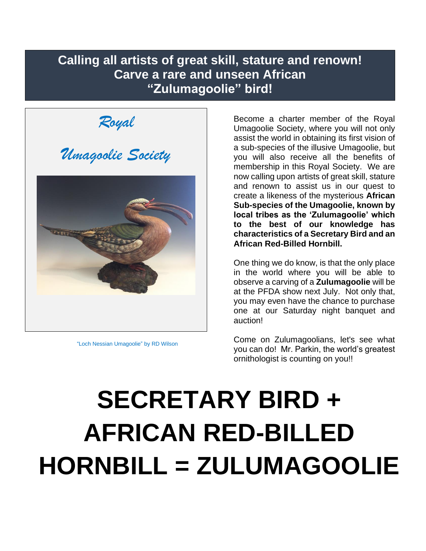### **Calling all artists of great skill, stature and renown! Carve a rare and unseen African "Zulumagoolie" bird!**

*Royal* 

*Umagoolie Society*



"Loch Nessian Umagoolie" by RD Wilson

Become a charter member of the Royal Umagoolie Society, where you will not only assist the world in obtaining its first vision of a sub-species of the illusive Umagoolie, but you will also receive all the benefits of membership in this Royal Society. We are now calling upon artists of great skill, stature and renown to assist us in our quest to create a likeness of the mysterious **African Sub-species of the Umagoolie, known by local tribes as the 'Zulumagoolie' which to the best of our knowledge has characteristics of a Secretary Bird and an African Red-Billed Hornbill.**

One thing we do know, is that the only place in the world where you will be able to observe a carving of a **Zulumagoolie** will be at the PFDA show next July. Not only that, you may even have the chance to purchase one at our Saturday night banquet and auction!

Come on Zulumagoolians, let's see what you can do! Mr. Parkin, the world's greatest ornithologist is counting on you!!

# **SECRETARY BIRD + AFRICAN RED-BILLED HORNBILL = ZULUMAGOOLIE**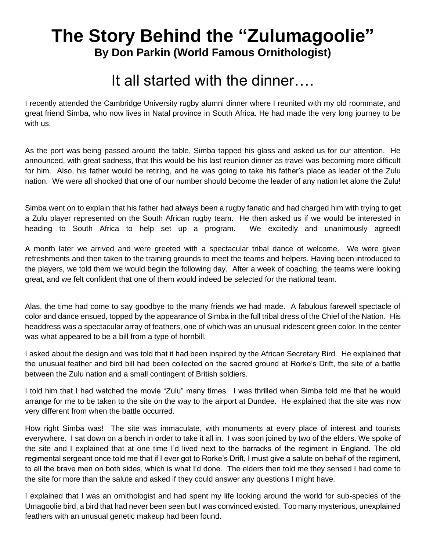## **The Story Behind the "Zulumagoolie" By Don Parkin (World Famous Ornithologist)**

## It all started with the dinner….

I recently attended the Cambridge University rugby alumni dinner where I reunited with my old roommate, and great friend Simba, who now lives in Natal province in South Africa. He had made the very long journey to be with us.

As the port was being passed around the table, Simba tapped his glass and asked us for our attention. He announced, with great sadness, that this would be his last reunion dinner as travel was becoming more difficult for him. Also, his father would be retiring, and he was going to take his father's place as leader of the Zulu nation. We were all shocked that one of our number should become the leader of any nation let alone the Zulu!

Simba went on to explain that his father had always been a rugby fanatic and had charged him with trying to get a Zulu player represented on the South African rugby team. He then asked us if we would be interested in heading to South Africa to help set up a program. We excitedly and unanimously agreed!

A month later we arrived and were greeted with a spectacular tribal dance of welcome. We were given refreshments and then taken to the training grounds to meet the teams and helpers. Having been introduced to the players, we told them we would begin the following day. After a week of coaching, the teams were looking great, and we felt confident that one of them would indeed be selected for the national team.

Alas, the time had come to say goodbye to the many friends we had made. A fabulous farewell spectacle of color and dance ensued, topped by the appearance of Simba in the full tribal dress of the Chief of the Nation. His headdress was a spectacular array of feathers, one of which was an unusual iridescent green color. In the center was what appeared to be a bill from a type of hornbill.

I asked about the design and was told that it had been inspired by the African Secretary Bird. He explained that the unusual feather and bird bill had been collected on the sacred ground at Rorke's Drift, the site of a battle between the Zulu nation and a small contingent of British soldiers.

I told him that I had watched the movie "Zulu" many times. I was thrilled when Simba told me that he would arrange for me to be taken to the site on the way to the airport at Dundee. He explained that the site was now very different from when the battle occurred.

How right Simba was! The site was immaculate, with monuments at every place of interest and tourists everywhere. I sat down on a bench in order to take it all in. I was soon joined by two of the elders. We spoke of the site and I explained that at one time I'd lived next to the barracks of the regiment in England. The old regimental sergeant once told me that if I ever got to Rorke's Drift, I must give a salute on behalf of the regiment, to all the brave men on both sides, which is what I'd done. The elders then told me they sensed I had come to the site for more than the salute and asked if they could answer any questions I might have.

I explained that I was an ornithologist and had spent my life looking around the world for sub-species of the Umagoolie bird, a bird that had never been seen but I was convinced existed. Too many mysterious, unexplained feathers with an unusual genetic makeup had been found.